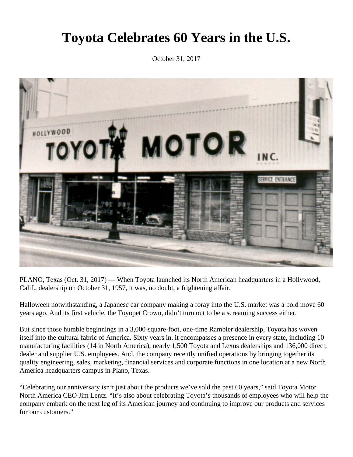## **Toyota Celebrates 60 Years in the U.S.**

October 31, 2017



PLANO, Texas (Oct. 31, 2017) — When Toyota launched its North American headquarters in a Hollywood, Calif., dealership on October 31, 1957, it was, no doubt, a frightening affair.

Halloween notwithstanding, a Japanese car company making a foray into the U.S. market was a bold move 60 years ago. And its first vehicle, the Toyopet Crown, didn't turn out to be a screaming success either.

But since those humble beginnings in a 3,000-square-foot, one-time Rambler dealership, Toyota has woven itself into the cultural fabric of America. Sixty years in, it encompasses a presence in every state, including 10 manufacturing facilities (14 in North America), nearly 1,500 Toyota and Lexus dealerships and 136,000 direct, dealer and supplier U.S. employees. And, the company recently unified operations by bringing together its quality engineering, sales, marketing, financial services and corporate functions in one location at a new North America headquarters campus in Plano, Texas.

"Celebrating our anniversary isn't just about the products we've sold the past 60 years," said Toyota Motor North America CEO Jim Lentz. "It's also about celebrating Toyota's thousands of employees who will help the company embark on the next leg of its American journey and continuing to improve our products and services for our customers."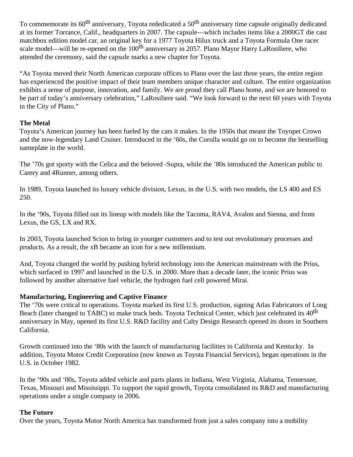To commemorate its 60<sup>th</sup> anniversary, Toyota rededicated a 50<sup>th</sup> anniversary time capsule originally dedicated at its former Torrance, Calif., headquarters in 2007. The capsule—which includes items like a 2000GT die cast matchbox edition model car, an original key for a 1977 Toyota Hilux truck and a Toyota Formula One racer scale model—will be re-opened on the 100<sup>th</sup> anniversary in 2057. Plano Mayor Harry LaRosiliere, who attended the ceremony, said the capsule marks a new chapter for Toyota.

"As Toyota moved their North American corporate offices to Plano over the last three years, the entire region has experienced the positive impact of their team members unique character and culture. The entire organization exhibits a sense of purpose, innovation, and family. We are proud they call Plano home, and we are honored to be part of today's anniversary celebration," LaRosiliere said. "We look forward to the next 60 years with Toyota in the City of Plano."

## **The Metal**

Toyota's American journey has been fueled by the cars it makes. In the 1950s that meant the Toyopet Crown and the now-legendary Land Cruiser. Introduced in the '60s, the Corolla would go on to become the bestselling nameplate in the world.

The '70s got sporty with the Celica and the beloved -Supra, while the '80s introduced the American public to Camry and 4Runner, among others.

In 1989, Toyota launched its luxury vehicle division, Lexus, in the U.S. with two models, the LS 400 and ES 250.

In the '90s, Toyota filled out its lineup with models like the Tacoma, RAV4, Avalon and Sienna, and from Lexus, the GS, LX and RX.

In 2003, Toyota launched Scion to bring in younger customers and to test out revolutionary processes and products. As a result, the xB became an icon for a new millennium.

And, Toyota changed the world by pushing hybrid technology into the American mainstream with the Prius, which surfaced in 1997 and launched in the U.S. in 2000. More than a decade later, the iconic Prius was followed by another alternative fuel vehicle, the hydrogen fuel cell powered Mirai.

## **Manufacturing, Engineering and Captive Finance**

The '70s were critical to operations. Toyota marked its first U.S. production, signing Atlas Fabricators of Long Beach (later changed to TABC) to make truck beds. Toyota Technical Center, which just celebrated its 40<sup>th</sup> anniversary in May, opened its first U.S. R&D facility and Calty Design Research opened its doors in Southern California.

Growth continued into the '80s with the launch of manufacturing facilities in California and Kentucky. In addition, Toyota Motor Credit Corporation (now known as Toyota Financial Services), began operations in the U.S. in October 1982.

In the '90s and '00s, Toyota added vehicle and parts plants in Indiana, West Virginia, Alabama, Tennessee, Texas, Missouri and Mississippi. To support the rapid growth, Toyota consolidated its R&D and manufacturing operations under a single company in 2006.

## **The Future**

Over the years, Toyota Motor North America has transformed from just a sales company into a mobility